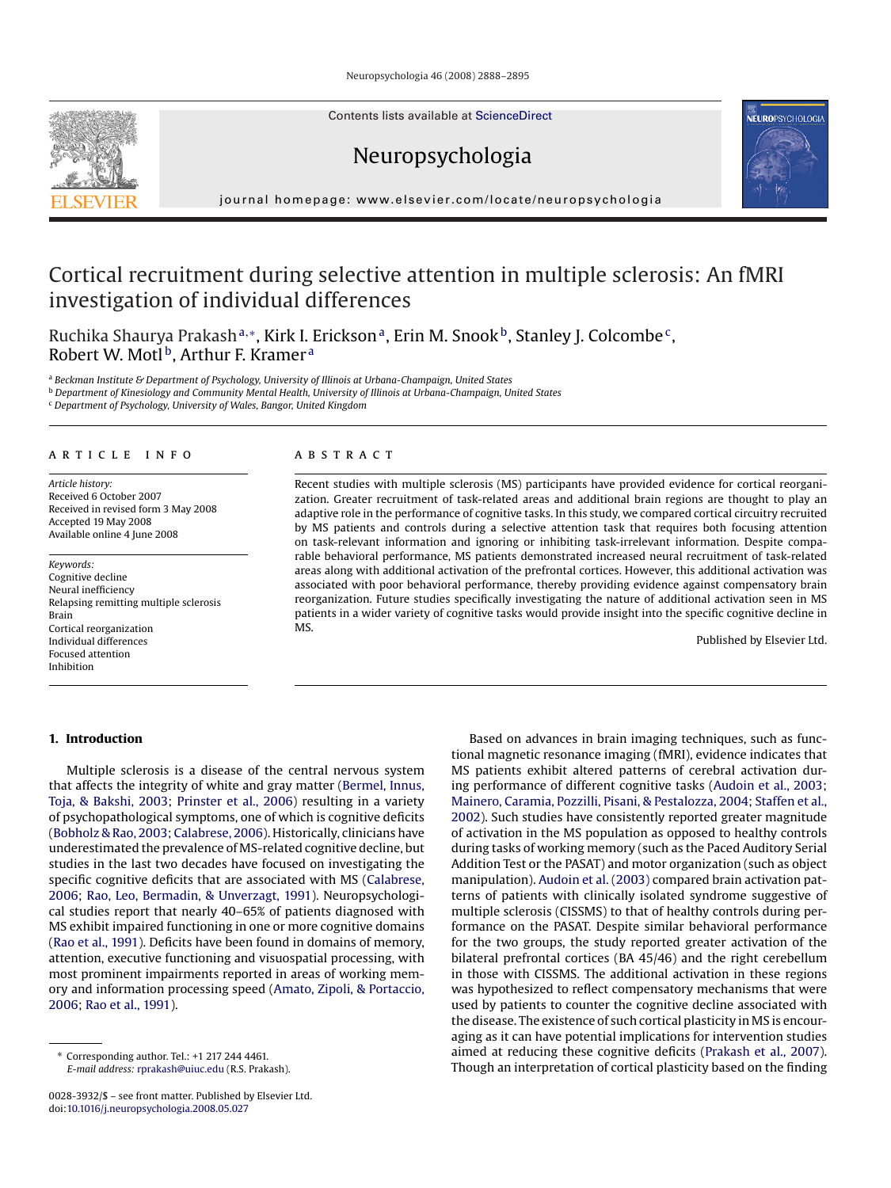Neuropsychologia 46 (2008) 2888–2895

Contents lists available at [ScienceDirect](http://www.sciencedirect.com/science/journal/00283932)

## Neuropsychologia



journal homepage: www.elsevier.com/locate/neuropsychologia

## Cortical recruitment during selective attention in multiple sclerosis: An fMRI investigation of individual differences

Ruchika Shaurya Prakash<sup>a,∗</sup>, Kirk I. Erickson<sup>a</sup>, Erin M. Snook<sup>b</sup>, Stanley J. Colcombe<sup>c</sup>, Robert W. Motl<sup>b</sup>, Arthur F. Kramer<sup>a</sup>

<sup>a</sup> *Beckman Institute & Department of Psychology, University of Illinois at Urbana-Champaign, United States*

<sup>b</sup> *Department of Kinesiology and Community Mental Health, University of Illinois at Urbana-Champaign, United States*

<sup>c</sup> *Department of Psychology, University of Wales, Bangor, United Kingdom*

### article info

*Article history:* Received 6 October 2007 Received in revised form 3 May 2008 Accepted 19 May 2008 Available online 4 June 2008

*Keywords:* Cognitive decline Neural inefficiency Relapsing remitting multiple sclerosis Brain Cortical reorganization Individual differences Focused attention Inhibition

## ABSTRACT

Recent studies with multiple sclerosis (MS) participants have provided evidence for cortical reorganization. Greater recruitment of task-related areas and additional brain regions are thought to play an adaptive role in the performance of cognitive tasks. In this study, we compared cortical circuitry recruited by MS patients and controls during a selective attention task that requires both focusing attention on task-relevant information and ignoring or inhibiting task-irrelevant information. Despite comparable behavioral performance, MS patients demonstrated increased neural recruitment of task-related areas along with additional activation of the prefrontal cortices. However, this additional activation was associated with poor behavioral performance, thereby providing evidence against compensatory brain reorganization. Future studies specifically investigating the nature of additional activation seen in MS patients in a wider variety of cognitive tasks would provide insight into the specific cognitive decline in MS.

Published by Elsevier Ltd.

# **1. Introduction**

Multiple sclerosis is a disease of the central nervous system that affects the integrity of white and gray matter ([Bermel, Innus,](#page--1-0) [Toja, & Bakshi, 2003;](#page--1-0) [Prinster et al., 2006\)](#page--1-0) resulting in a variety of psychopathological symptoms, one of which is cognitive deficits ([Bobholz & Rao, 2003;](#page--1-0) [Calabrese, 2006\).](#page--1-0) Historically, clinicians have underestimated the prevalence of MS-related cognitive decline, but studies in the last two decades have focused on investigating the specific cognitive deficits that are associated with MS [\(Calabrese,](#page--1-0) [2006;](#page--1-0) [Rao, Leo, Bermadin, & Unverzagt, 1991\).](#page--1-0) Neuropsychological studies report that nearly 40–65% of patients diagnosed with MS exhibit impaired functioning in one or more cognitive domains ([Rao et al., 1991\).](#page--1-0) Deficits have been found in domains of memory, attention, executive functioning and visuospatial processing, with most prominent impairments reported in areas of working memory and information processing speed ([Amato, Zipoli, & Portaccio,](#page--1-0) [2006;](#page--1-0) [Rao et al., 1991\).](#page--1-0)

Based on advances in brain imaging techniques, such as functional magnetic resonance imaging (fMRI), evidence indicates that MS patients exhibit altered patterns of cerebral activation during performance of different cognitive tasks ([Audoin et al., 2003;](#page--1-0) [Mainero, Caramia, Pozzilli, Pisani, & Pestalozza, 2004;](#page--1-0) [Staffen et al.,](#page--1-0) [2002\).](#page--1-0) Such studies have consistently reported greater magnitude of activation in the MS population as opposed to healthy controls during tasks of working memory (such as the Paced Auditory Serial Addition Test or the PASAT) and motor organization (such as object manipulation). [Audoin et al. \(2003\)](#page--1-0) compared brain activation patterns of patients with clinically isolated syndrome suggestive of multiple sclerosis (CISSMS) to that of healthy controls during performance on the PASAT. Despite similar behavioral performance for the two groups, the study reported greater activation of the bilateral prefrontal cortices (BA 45/46) and the right cerebellum in those with CISSMS. The additional activation in these regions was hypothesized to reflect compensatory mechanisms that were used by patients to counter the cognitive decline associated with the disease. The existence of such cortical plasticity in MS is encouraging as it can have potential implications for intervention studies aimed at reducing these cognitive deficits [\(Prakash et al., 2007\).](#page--1-0) Though an interpretation of cortical plasticity based on the finding



<sup>∗</sup> Corresponding author. Tel.: +1 217 244 4461. *E-mail address:* [rprakash@uiuc.edu](mailto:rprakash@uiuc.edu) (R.S. Prakash).

<sup>0028-3932/\$ –</sup> see front matter. Published by Elsevier Ltd. doi:[10.1016/j.neuropsychologia.2008.05.027](dx.doi.org/10.1016/j.neuropsychologia.2008.05.027)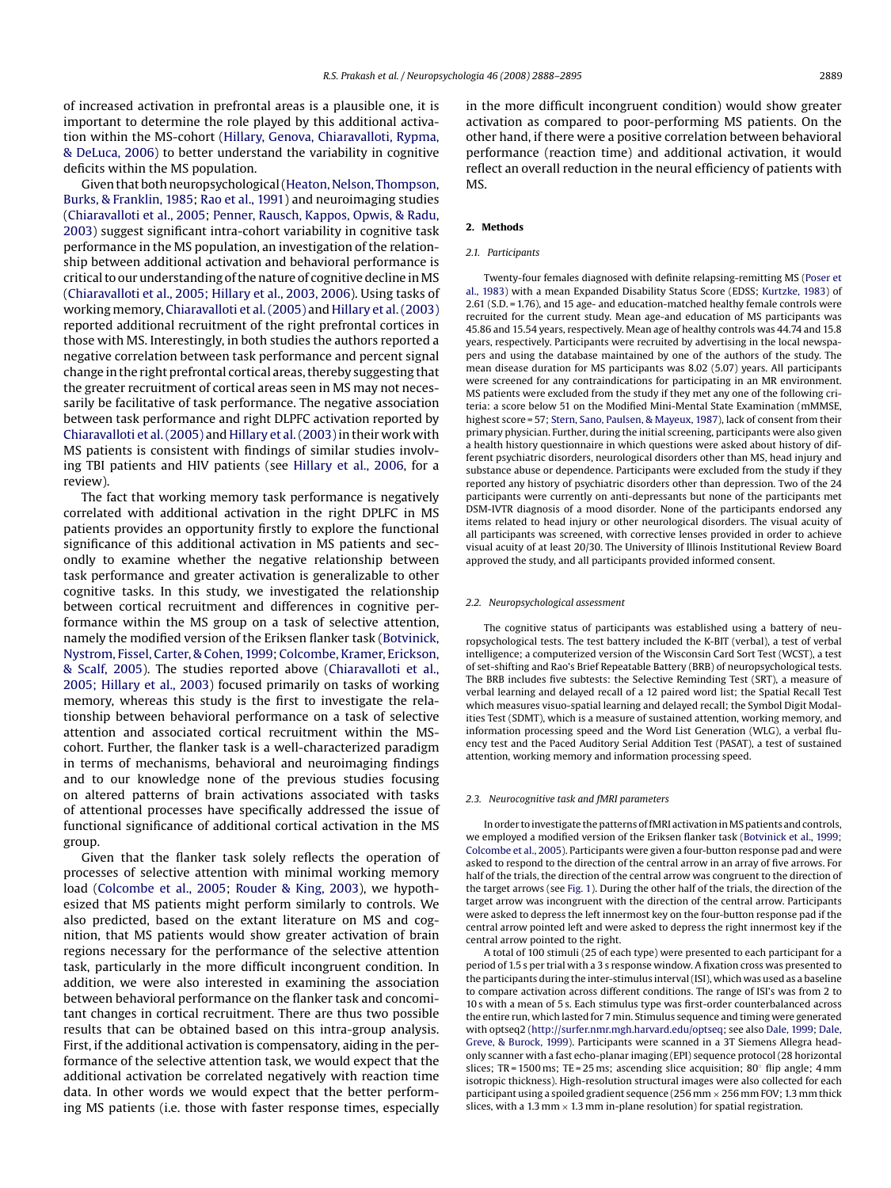of increased activation in prefrontal areas is a plausible one, it is important to determine the role played by this additional activation within the MS-cohort [\(Hillary, Genova, Chiaravalloti, Rypma,](#page--1-0) [& DeLuca, 2006\)](#page--1-0) to better understand the variability in cognitive deficits within the MS population.

Given that both neuropsychological [\(Heaton, Nelson, Thompson,](#page--1-0) [Burks, & Franklin, 1985;](#page--1-0) [Rao et al., 1991\)](#page--1-0) and neuroimaging studies [\(Chiaravalloti et al., 2005;](#page--1-0) [Penner, Rausch, Kappos, Opwis, & Radu,](#page--1-0) [2003\)](#page--1-0) suggest significant intra-cohort variability in cognitive task performance in the MS population, an investigation of the relationship between additional activation and behavioral performance is critical to our understanding of the nature of cognitive decline inMS [\(Chiaravalloti et al., 2005; Hillary et al., 2003, 2006\).](#page--1-0) Using tasks of working memory, [Chiaravalloti et al. \(2005\)](#page--1-0) and [Hillary et al. \(2003\)](#page--1-0) reported additional recruitment of the right prefrontal cortices in those with MS. Interestingly, in both studies the authors reported a negative correlation between task performance and percent signal change in the right prefrontal cortical areas, thereby suggesting that the greater recruitment of cortical areas seen in MS may not necessarily be facilitative of task performance. The negative association between task performance and right DLPFC activation reported by [Chiaravalloti et al. \(2005\)](#page--1-0) and Hillary et al. (2003) in their work with MS patients is consistent with findings of similar studies involving TBI patients and HIV patients (see [Hillary et al., 2006, f](#page--1-0)or a review).

The fact that working memory task performance is negatively correlated with additional activation in the right DPLFC in MS patients provides an opportunity firstly to explore the functional significance of this additional activation in MS patients and secondly to examine whether the negative relationship between task performance and greater activation is generalizable to other cognitive tasks. In this study, we investigated the relationship between cortical recruitment and differences in cognitive performance within the MS group on a task of selective attention, namely the modified version of the Eriksen flanker task ([Botvinick,](#page--1-0) [Nystrom, Fissel, Carter, & Cohen, 1999;](#page--1-0) [Colcombe, Kramer, Erickson,](#page--1-0) [& Scalf, 2005\).](#page--1-0) The studies reported above ([Chiaravalloti et al.,](#page--1-0) [2005; Hillary et al., 2003\)](#page--1-0) focused primarily on tasks of working memory, whereas this study is the first to investigate the relationship between behavioral performance on a task of selective attention and associated cortical recruitment within the MScohort. Further, the flanker task is a well-characterized paradigm in terms of mechanisms, behavioral and neuroimaging findings and to our knowledge none of the previous studies focusing on altered patterns of brain activations associated with tasks of attentional processes have specifically addressed the issue of functional significance of additional cortical activation in the MS group.

Given that the flanker task solely reflects the operation of processes of selective attention with minimal working memory load [\(Colcombe et al., 2005;](#page--1-0) [Rouder & King, 2003\),](#page--1-0) we hypothesized that MS patients might perform similarly to controls. We also predicted, based on the extant literature on MS and cognition, that MS patients would show greater activation of brain regions necessary for the performance of the selective attention task, particularly in the more difficult incongruent condition. In addition, we were also interested in examining the association between behavioral performance on the flanker task and concomitant changes in cortical recruitment. There are thus two possible results that can be obtained based on this intra-group analysis. First, if the additional activation is compensatory, aiding in the performance of the selective attention task, we would expect that the additional activation be correlated negatively with reaction time data. In other words we would expect that the better performing MS patients (i.e. those with faster response times, especially

in the more difficult incongruent condition) would show greater activation as compared to poor-performing MS patients. On the other hand, if there were a positive correlation between behavioral performance (reaction time) and additional activation, it would reflect an overall reduction in the neural efficiency of patients with MS.

#### **2. Methods**

#### *2.1. Participants*

Twenty-four females diagnosed with definite relapsing-remitting MS [\(Poser et](#page--1-0) [al., 1983\) w](#page--1-0)ith a mean Expanded Disability Status Score (EDSS; [Kurtzke, 1983\) o](#page--1-0)f 2.61 (S.D. = 1.76), and 15 age- and education-matched healthy female controls were recruited for the current study. Mean age-and education of MS participants was 45.86 and 15.54 years, respectively. Mean age of healthy controls was 44.74 and 15.8 years, respectively. Participants were recruited by advertising in the local newspapers and using the database maintained by one of the authors of the study. The mean disease duration for MS participants was 8.02 (5.07) years. All participants were screened for any contraindications for participating in an MR environment. MS patients were excluded from the study if they met any one of the following criteria: a score below 51 on the Modified Mini-Mental State Examination (mMMSE, highest score = 57; [Stern, Sano, Paulsen, & Mayeux, 1987\),](#page--1-0) lack of consent from their primary physician. Further, during the initial screening, participants were also given a health history questionnaire in which questions were asked about history of different psychiatric disorders, neurological disorders other than MS, head injury and substance abuse or dependence. Participants were excluded from the study if they reported any history of psychiatric disorders other than depression. Two of the 24 participants were currently on anti-depressants but none of the participants met DSM-IVTR diagnosis of a mood disorder. None of the participants endorsed any items related to head injury or other neurological disorders. The visual acuity of all participants was screened, with corrective lenses provided in order to achieve visual acuity of at least 20/30. The University of Illinois Institutional Review Board approved the study, and all participants provided informed consent.

#### *2.2. Neuropsychological assessment*

The cognitive status of participants was established using a battery of neuropsychological tests. The test battery included the K-BIT (verbal), a test of verbal intelligence; a computerized version of the Wisconsin Card Sort Test (WCST), a test of set-shifting and Rao's Brief Repeatable Battery (BRB) of neuropsychological tests. The BRB includes five subtests: the Selective Reminding Test (SRT), a measure of verbal learning and delayed recall of a 12 paired word list; the Spatial Recall Test which measures visuo-spatial learning and delayed recall; the Symbol Digit Modalities Test (SDMT), which is a measure of sustained attention, working memory, and information processing speed and the Word List Generation (WLG), a verbal fluency test and the Paced Auditory Serial Addition Test (PASAT), a test of sustained attention, working memory and information processing speed.

#### *2.3. Neurocognitive task and fMRI parameters*

In order to investigate the patterns of fMRI activation inMS patients and controls, we employed a modified version of the Eriksen flanker task ([Botvinick et al., 1999;](#page--1-0) [Colcombe et al., 2005\).](#page--1-0) Participants were given a four-button response pad and were asked to respond to the direction of the central arrow in an array of five arrows. For half of the trials, the direction of the central arrow was congruent to the direction of the target arrows (see [Fig. 1\).](#page--1-0) During the other half of the trials, the direction of the target arrow was incongruent with the direction of the central arrow. Participants were asked to depress the left innermost key on the four-button response pad if the central arrow pointed left and were asked to depress the right innermost key if the central arrow pointed to the right.

A total of 100 stimuli (25 of each type) were presented to each participant for a period of 1.5 s per trial with a 3 s response window. A fixation cross was presented to the participants during the inter-stimulus interval (ISI), which was used as a baseline to compare activation across different conditions. The range of ISI's was from 2 to 10 s with a mean of 5 s. Each stimulus type was first-order counterbalanced across the entire run, which lasted for 7 min. Stimulus sequence and timing were generated with optseq2 [\(http://surfer.nmr.mgh.harvard.edu/optseq](http://surfer.nmr.mgh.harvard.edu/optseq); see also [Dale, 1999;](#page--1-0) [Dale,](#page--1-0) [Greve, & Burock, 1999\).](#page--1-0) Participants were scanned in a 3T Siemens Allegra headonly scanner with a fast echo-planar imaging (EPI) sequence protocol (28 horizontal slices; TR = 1500 ms; TE = 25 ms; ascending slice acquisition;  $80^\circ$  flip angle; 4 mm isotropic thickness). High-resolution structural images were also collected for each participant using a spoiled gradient sequence (256 mm  $\times$  256 mm FOV; 1.3 mm thick slices, with a 1.3 mm  $\times$  1.3 mm in-plane resolution) for spatial registration.